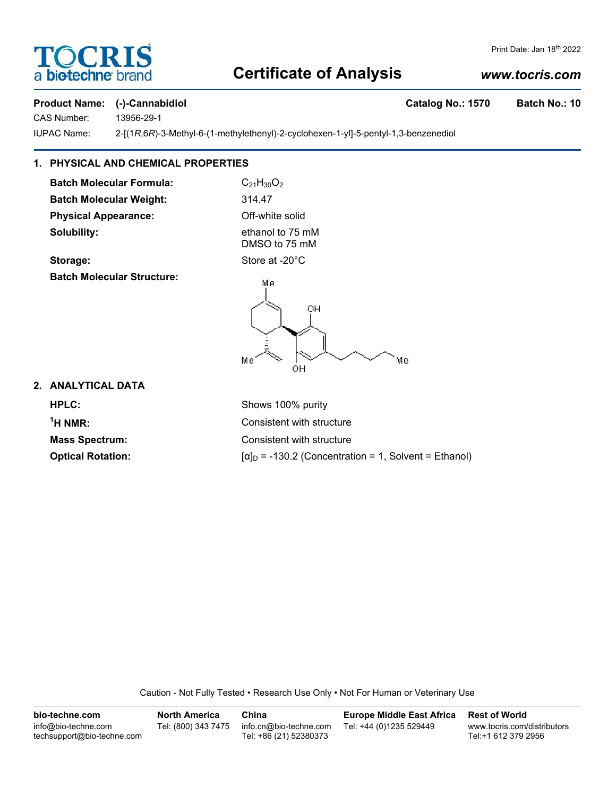# **FOCRI** a **biotechne** bi

#### Print Date: Jan 18th 2022

# **Certificate of Analysis**

## *www.tocris.com*

#### **Product Name: (-)-Cannabidiol Catalog No.: 1570 Batch No.: 10**

CAS Number: 13956-29-1

IUPAC Name: 2-[(1*R*,6*R*)-3-Methyl-6-(1-methylethenyl)-2-cyclohexen-1-yl]-5-pentyl-1,3-benzenediol

## **1. PHYSICAL AND CHEMICAL PROPERTIES**

**Batch Molecular Formula:** C<sub>21</sub>H<sub>30</sub>O<sub>2</sub> **Batch Molecular Weight:** 314.47 **Physical Appearance:** Off-white solid **Solubility:** ethanol to 75 mM

DMSO to 75 mM **Storage:** Store at -20°C

**Batch Molecular Structure:**

Mе OH Me Me OH

**2. ANALYTICAL DATA**

**HPLC:** Shows 100% purity  $1$ <sup>1</sup>H NMR $\cdot$ 

Consistent with structure **Mass Spectrum:** Consistent with structure **Optical Rotation:**  $\begin{bmatrix} \alpha \end{bmatrix}$  = -130.2 (Concentration = 1, Solvent = Ethanol)

Caution - Not Fully Tested • Research Use Only • Not For Human or Veterinary Use

**bio-techne.com** info@bio-techne.com techsupport@bio-techne.com **North America** Tel: (800) 343 7475 **China** info.cn@bio-techne.com Tel: +86 (21) 52380373 **Europe Middle East Africa** Tel: +44 (0)1235 529449 **Rest of World** www.tocris.com/distributors Tel:+1 612 379 2956